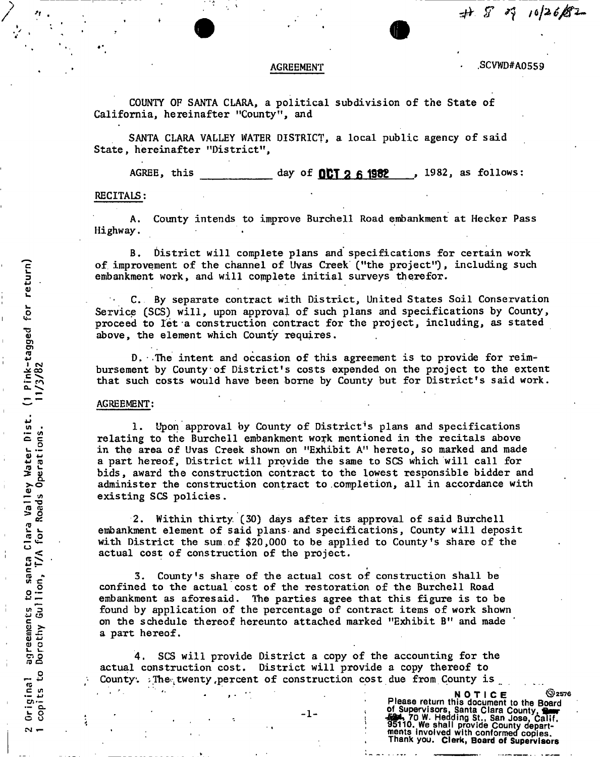AGREEMENT **6** . SCVWD#A0559

*r^ ST ^ iOfttj&l-*

COUNTY OF SANTA CLARA, a political subdivision of the State of California, hereinafter "County", and

SANTA CLARA VALLEY WATER DISTRICT, a local public agency of said State, hereinafter "District",

AGREE, this day of  $OPT 2 6 1982$ , as follows:

### RECITALS:

A. County intends to improve Burchell Road embankment at Hecker Pass Highway.

B. District will complete plans and specifications for certain work of improvement of the channel of Uvas Creek ("the project"), including such embankment work, and will complete initial surveys therefor.

C. By separate contract with District, United States Soil Conservation Service (SCS) will, upon approval of such plans and specifications by County, proceed to let a construction contract for the project, including, as stated above, the element which County requires.

 $D.$  The intent and occasion of this agreement is to provide for reimbursement by County of District's costs expended on the project to the extent that such costs would have been borne by County but for District's said work.

#### $AGREEMENT:$

1. Upon approval by County of District's plans and specifications relating to the Burchell embankment work mentioned in the recitals above in the area of Uvas Creek shown on "Exhibit A" hereto, so marked and made a part hereof, District will provide the same to SCS which will call for bids, award the construction contract to the lowest responsible bidder and administer the construction contract to completion, all in accordance with existing SCS policies.

2. Within thirty. (30) days after its approval of said Burchell embankment element of said plans and specifications, County will deposit with District the sum.of \$20,000 to be applied to County's share of the actual cost of construction of the project.

3. County's share of the actual cost of construction shall be confined to the actual cost of the restoration of the Burchell Road embankment as aforesaid. The parties agree that this figure is to be found by application of the percentage of contract items of work shown on the schedule thereof hereunto attached marked "Exhibit B" and made a part hereof.

SCS will provide District a copy of the accounting for the actual construction cost. District will provide a copy thereof to County. The twenty percent of construction cost due from County is

 $\overline{\omega}$ ōi<br>m hist. 1 **C. 2**<br>C. 2011<br>C. 2011  $\mathbf{H}$  :: d d<br>Dat ≥ี <u>ด</u><br>- ค a*i*  Vall<br>Roads i<br>E. or<br>L. o **Clara** −<br>ธ∑ santa ro sai<br>11on, in 3 *w ID*  agreement<br>Dorothy ( Original<br>copits to

*r-i* 

î,

NOTICE<br>
Please return this document to the Board<br>
1-<br>
of Supervisors, Santa Clara County, **Santa Clara County**<br>
55110. We shall provide County depart-<br>
ments involved with conformed copies.<br>
Thank you. Clerk, Board of Supe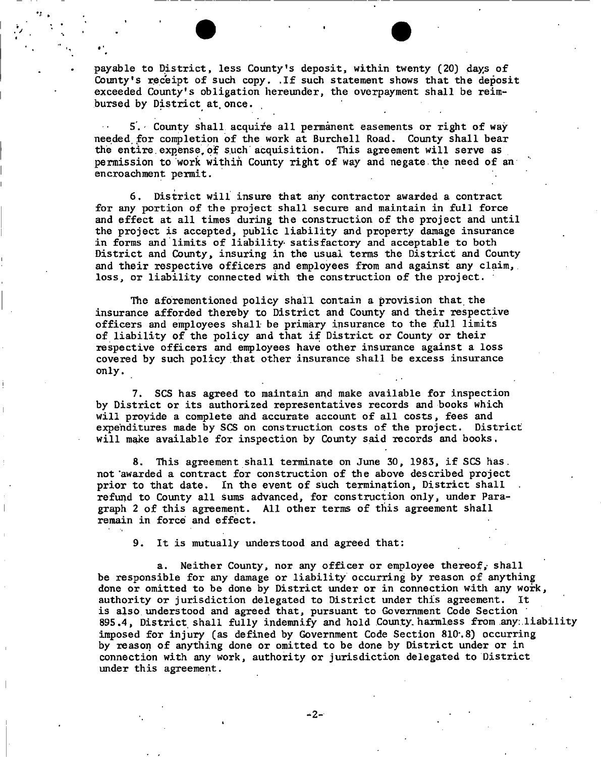payable to District, less County's deposit, within twenty (20) days of County's receipt Of such copy. .If such statement shows that the deposit exceeded County's obligation hereunder, the overpayment shall be reimbursed by District at once.

•'

5'. County shall acquire all permanent easements or right of wayneeded, for completion of the work at Burchell Road. County shall bear the entire expense of such acquisition. This agreement will serve as permission to work within County right of way and negate the need of an encroachment permit.

6. District will insure that any contractor awarded a contract for any portion of the project shall secure and maintain in full force and effect at all times during the construction of the project and until the project is accepted, public liability and property damage insurance in forms and limits of liability- satisfactory and acceptable to both District and County, insuring in the usual terms the District and County and their respective officers and employees from and against any claim, loss, or liability connected with the construction of the project.

The aforementioned policy shall contain a provision that the insurance afforded thereby to District and County and their respective officers and employees shall be primary insurance to the full limits of liability of the policy and that if District or County or their respective officers and employees have other insurance against a loss covered by such policy that other insurance shall be excess insurance only.

7. SCS has agreed to maintain and make available for inspection by District or its authorized representatives records and books which will provide a complete and accurate account of all costs, fees and expenditures made by SCS on construction costs of the project. District will make available for inspection by County said records and books.

8. This agreement shall terminate on June 30, 1983, if SCS has. not 'awarded a contract for construction of the above described project prior to that date. In the event of such termination, District shall refund to County all sums advanced, for construction only, under Paragraph 2 of this agreement. All other terms of this agreement shall remain in force and effect.

9. It is mutually understood and agreed that:

a. Neither County, nor any officer or employee thereof, shall be responsible for any damage or liability occurring by reason of anything done or omitted to be done by District under or in connection with any work, authority or jurisdiction delegated to District under this agreement. It is also understood and agreed that, pursuant to Government Code Section 895.4, District shall fully indemnify and hold County harmless from any: liability imposed for injury (as defined by Government Code Section 810'. 8) occurring by reason of anything done or omitted to be done by District under or in connection with any work, authority or jurisdiction delegated to District under this agreement.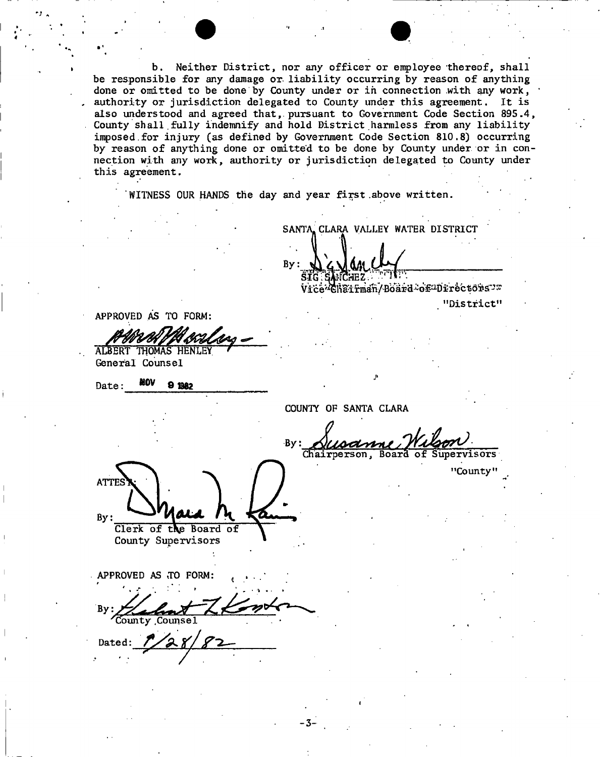b. Neither District, nor any officer or employee thereof, shall be responsible for any damage or. liability occurring by reason of anything done or omitted to be done by County under or in connection with any work, authority or jurisdiction delegated to County under this agreement. It is also understood and agreed that,, pursuant to Government Code Section 895.4, County shall.fully indemnify and hold District harmless from any liability imposed.for injury (as defined by Government Code Section 810.8) occurring by reason of anything done or omitted to be done by County under or in connection with any work, authority or jurisdiction delegated to County under this agreement.

WITNESS OUR HANDS the day and year first .above written.

 $Bv:$ 

APPROVED AS TO FORM:

ALBERT THOMAS HENLEY General Counsel

Date:  $MOV$  O 1982

COUNTY OF SANTA CLARA

**- 3 -**

SANTA. CLARA VALLEY WATER DISTRICT

"District"

"County"

SIG SANCHEZ. TO Vice<sup>2</sup>Chairman/Board

By: Chairperson, Board of Supervisors **ATTES**  $By:$ Clerk of the Board of

County Supervisors

APPROVED AS TO FORM:

**B**v .ounty .Counsel

Dated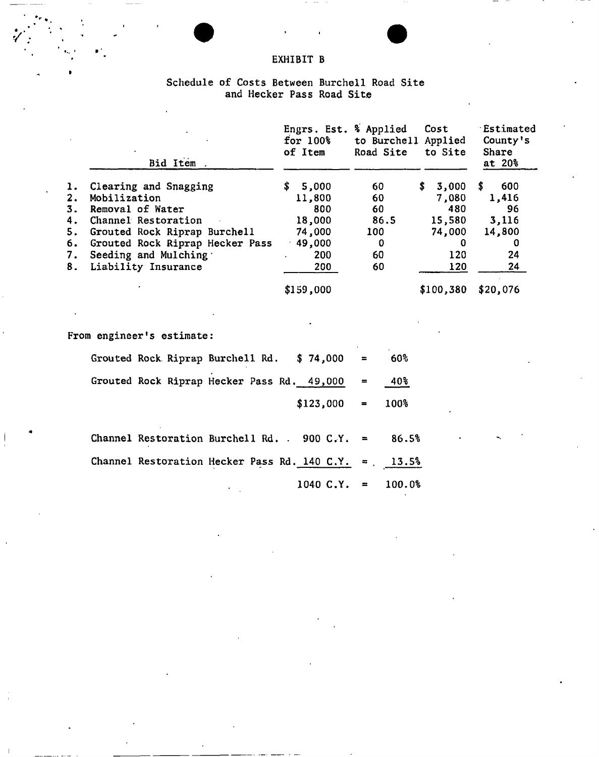## EXHIBIT B

' ... • • '

### Schedule of Costs Between Burchell Road Site and Meeker Pass Road Site

|                                              | Bid Item.                                                                                                                                                                                          | Engrs. Est. % Applied<br>$for 100\$<br>of Item                              | to Burchell Applied<br>Road Site               | Cost<br>to Site                                                    | Estimated<br>County's<br>Share<br>at 20%                     |
|----------------------------------------------|----------------------------------------------------------------------------------------------------------------------------------------------------------------------------------------------------|-----------------------------------------------------------------------------|------------------------------------------------|--------------------------------------------------------------------|--------------------------------------------------------------|
| ı.<br>2.<br>3.<br>4.<br>5.<br>6.<br>7.<br>8. | Clearing and Snagging<br>Mobilization<br>Removal of Water<br>Channel Restoration<br>Grouted Rock Riprap Burchell<br>Grouted Rock Riprap Hecker Pass<br>Seeding and Mulching<br>Liability Insurance | \$<br>5,000<br>11,800<br>800<br>18,000<br>74,000<br>$-49,000$<br>200<br>200 | 60<br>60<br>60<br>86.5<br>100<br>0<br>60<br>60 | \$<br>3,000<br>7,080<br>480<br>15,580<br>74,000<br>0<br>120<br>120 | 600<br>S.<br>1,416<br>96<br>3,116<br>14,800<br>0<br>24<br>24 |
|                                              |                                                                                                                                                                                                    | \$159,000                                                                   |                                                | \$100,380                                                          | \$20,076                                                     |
|                                              | From engineer's estimate:                                                                                                                                                                          |                                                                             |                                                |                                                                    |                                                              |
|                                              | Grouted Rock Riprap Burchell Rd.                                                                                                                                                                   | \$74,000                                                                    | 60%                                            |                                                                    |                                                              |
|                                              | Grouted Rock Riprap Hecker Pass Rd. 49,000                                                                                                                                                         |                                                                             | 40%<br>$=$                                     |                                                                    |                                                              |
|                                              |                                                                                                                                                                                                    | \$123,000                                                                   | 100%<br>$=$                                    |                                                                    |                                                              |
|                                              | Channel Restoration Burchell Rd. 900 C.Y.                                                                                                                                                          |                                                                             | 86.5%<br>$\blacksquare$                        |                                                                    |                                                              |
|                                              | Channel Restoration Hecker Pass Rd. 140 C.Y.                                                                                                                                                       |                                                                             | 13.5%<br>$\overline{a}$                        |                                                                    |                                                              |
|                                              |                                                                                                                                                                                                    | 1040 C.Y.                                                                   | 100.0%<br>$\equiv$                             |                                                                    |                                                              |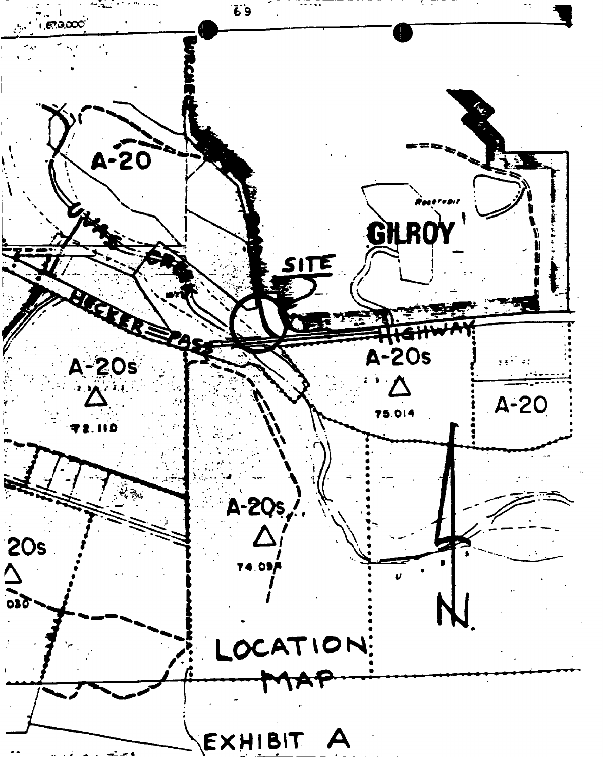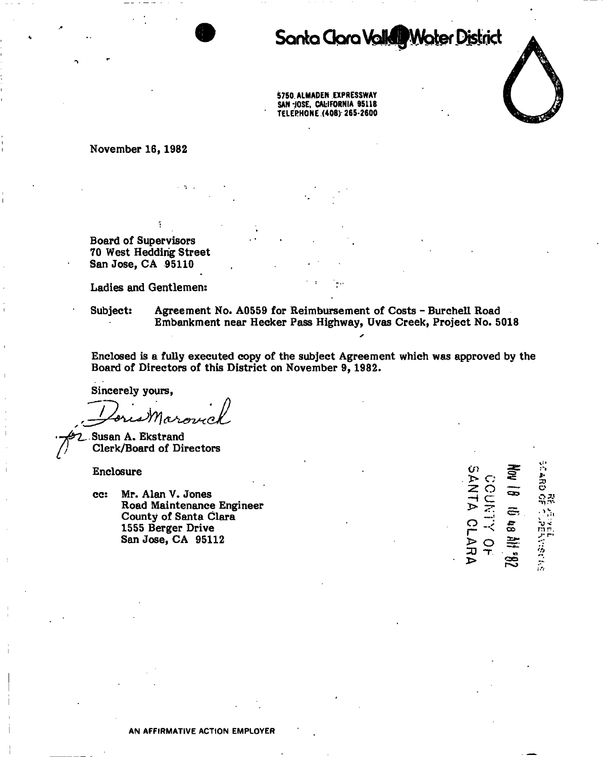# Santa Clara Valle Water District

5750. ALMADEN EXPRESSWAY SAN 'JOSE, CALIFORNIA 95118 TELEPHONE (408) 265-2600

**November 16,1982** 

**Board of Supervisors 70 West Heddirig Street San Jose, CA 95110** 

**Ladies and Gentlemen:** 

**Subject: Agreement No. A0559 for Reimbursement of Costs - Burchell Road Embankment near Hecker Pass Highway, Uvas Creek, Project No. 5018** 

**Enclosed is a fully executed copy of the subject Agreement which was approved by the Board of Directors of this District on November 9, 1982.** 

**Sincerely yours,** 

**Susan A. Ekstrand Clerk/Board of Directors** 

**Enclosure** 

**cc: Mr. Alan V. Jones Road Maintenance Engineer County of Santa Clara 1555 Berger Drive San Jose, CA 95112** 

| Ù١<br>ኴ<br>Ċ,         | 훚       | <b>SCARD</b>                  |
|-----------------------|---------|-------------------------------|
| Z<br>C<br>⇥<br>C<br>চ | -<br>ణు | 윾콩                            |
| Z                     | ē,      | $\mathcal{O}_{\mathcal{P}^1}$ |
| اسە<br>ئرىيە<br>ငှ    | a<br>8  | $\frac{1}{10}$                |
| コ                     | ¥       | <u>س بر</u><br>一般             |
| Ŧ<br>カ<br>ъ.          | ⇔       |                               |

Ť.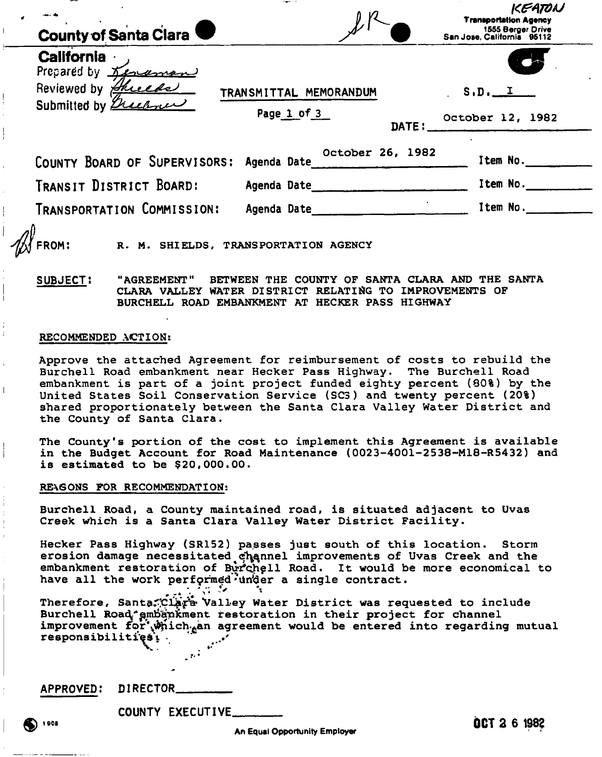| $S.D.$ $I$<br>TRANSMITTAL MEMORANDUM                                     |
|--------------------------------------------------------------------------|
| Page 1 of 3<br>October 12, 1982<br>DATE:                                 |
| October 26, 1982<br>COUNTY BOARD OF SUPERVISORS: Agenda Date<br>Item No. |
| Item No.<br>Agenda Date                                                  |
| Item No.<br>Agenda Date                                                  |
| R. M. SHIELDS, TRANSPORTATION AGENCY                                     |

**SUBJECT: "AGREEMENT" BETWEEN THE COUNTY OF SANTA CLARA AND THE SANTA CLARA VALLEY WATER DISTRICT RELATING TO IMPROVEMENTS OF BURCHELL ROAD EMBANKMENT AT HECKER PASS HIGHWAY** 

#### **RECOMMENDED ACTION:**

**Approve the attached Agreement for reimbursement of costs to rebuild the Burchell Road embankment near Hecker Pass Highway. The Burchell Road embankment is part of a joint project funded eighty percent (80%) by the United States Soil Conservation Service (SC3) and twenty percent (20%) shared proportionately between the Santa Clara Valley Water District and the County of Santa Clara.** 

**The County's portion of the cost to implement this Agreement is available in the Budget Account for Road Maintenance (0023-4001-2538-M18-R5432) and is estimated to be \$20,000.00.** 

### **RE\6ONS FOR RECOMMENDATION;**

**Burchell Road, a County maintained road, is situated adjacent to Uvas Creek which is a Santa Clara Valley Water District Facility.** 

**Hecker Pass Highway (SR152) passes just south of this location. Storm**  erosion damage necessitated channel improvements of Uvas Creek and the embankment restoration of Burchell Road. It would be more economical to have all the work performed inder a single contract.  $\cdot$   $\cdot$   $\cdot$   $\cdot$   $\cdot$   $\cdot$ 

**Therefore, Santa^Cl^a\*** Valley **Water District was requested to include**  Burchell Road<sup>\*</sup>gmbänkment restoration in their project for channel improvement for'which.an agreement would be entered into regarding mutual **responsibilities\*! .** 

**APPROVED: DIRECTOR** 

**COUNTY EXECUTIVE** 

 $0CT261982$ 

An Equal Opportunity Employer

1908 (

 $\overline{1}$ 

Ť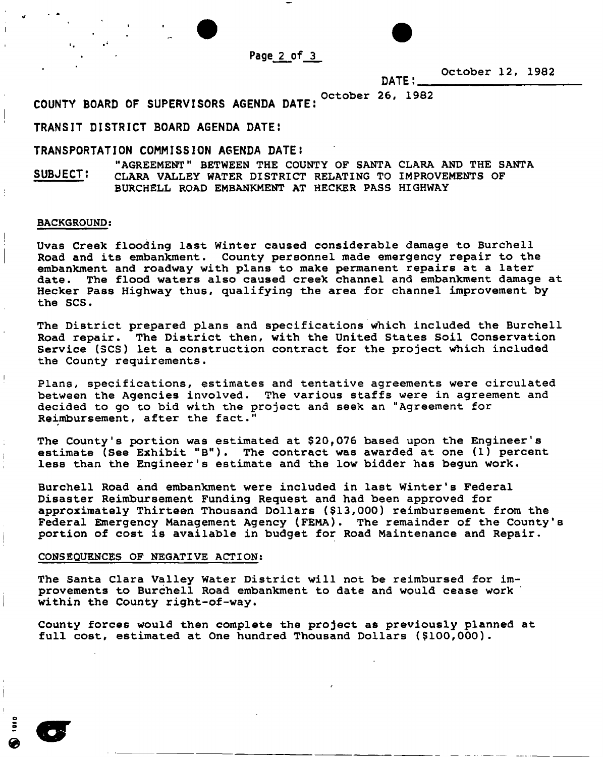Page 2 of 3

**October 12, 1982** 

**October 26, 1982** 

DATE!

COUNTY BOARD OF SUPERVISORS AGENDA DATE:

"AGREEMENT" BETWEEN THE COUNTY OF SANTA CLARA AND THE SANTA SUBJECT: CLARA VALLEY WATER DISTRICT RELATING TO IMPROVEMENTS OF BURCHELL ROAD EMBANKMENT AT HECKER PASS HIGHWAY

#### **BACKGROUND;**

**Uvas Creek flooding last Winter caused considerable damage to Burchell Road and its embankment. County personnel made emergency repair to the embankment and roadway with plans to make permanent repairs at a later date. The flood waters also caused creek channel and embankment damage at Hecker Pass Highway thus, qualifying the area for channel improvement by the SCS.** 

**The District prepared plans and specifications which included the Burchell Road repair. The District then, with the United States Soil Conservation Service (SCS) let a construction contract for the project which included the County requirements.** 

**Plans, specifications, estimates and tentative agreements were circulated between the Agencies involved. The various staffs were in agreement and decided to go to bid with the project and seek an "Agreement for Reimbursement, after the fact."** 

**The County's portion was estimated at \$20f076 based upon the Engineer's estimate (See Exhibit "B"). The contract was awarded at one (1) percent less than the Engineer's estimate and the low bidder has begun work.** 

Burchell Road and embankment were included in last Winter's Federal **Disaster Reimbursement Funding Request and had been approved for approximately Thirteen Thousand Dollars (\$13,000) reimbursement from the Federal Emergency Management Agency (FEMA). The remainder of the County's portion of cost is available in budget for Road Maintenance and Repair.** 

#### **CONSEQUENCES OF NEGATIVE ACTION:**

**The Santa Clara Valley Water District will not be reimbursed for improvements to Burchell Road embankment to date and would cease work within the County right-of-way.** 

**County forces would then complete the project as previously planned at full cost, estimated at One hundred Thousand Dollars (\$100,000).** 

e r